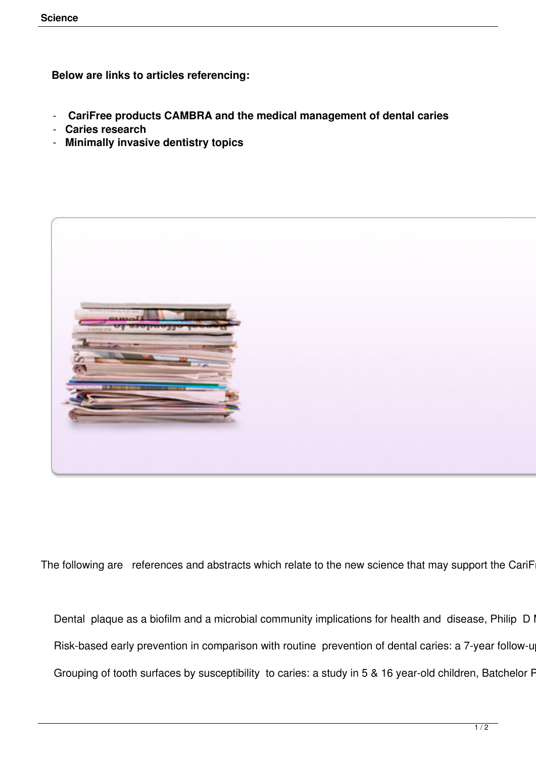**Below are links to articles referencing:**

- **CariFree products CAMBRA and the medical management of dental caries**
- **Caries research**
- **Minimally invasive dentistry topics**



The following are references and abstracts which relate to the new science that may support the CariF

Dental plaque as a biofilm and a microbial community implications for health and disease, Philip D I Risk-based early prevention in comparison with routine prevention of dental caries: a 7-year follow-u Grouping of tooth surfaces by susceptibility to caries: a study in 5 & 16 year-old children, Batchelor F